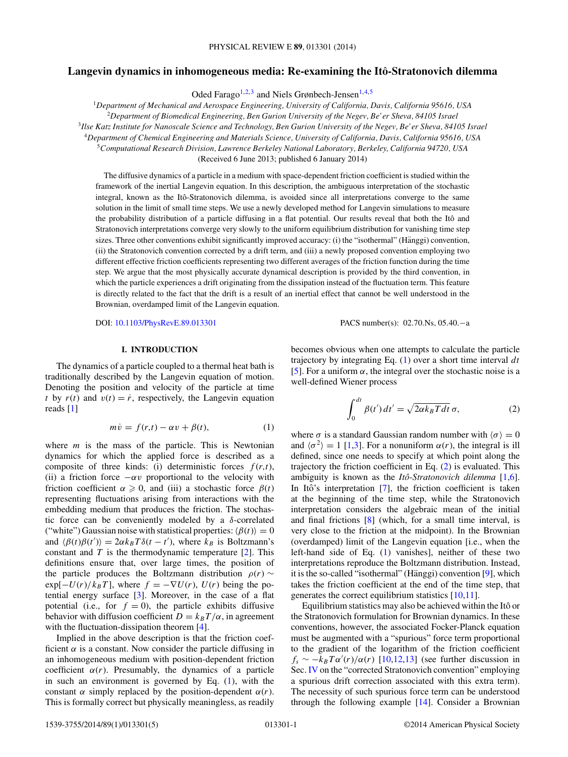# <span id="page-0-0"></span>**Langevin dynamics in inhomogeneous media: Re-examining the Ito-Stratonovich dilemma ˆ**

Oded Farago<sup>1,2,3</sup> and Niels Grønbech-Jensen<sup>1,4,5</sup>

<sup>1</sup>*Department of Mechanical and Aerospace Engineering, University of California, Davis, California 95616, USA*

<sup>2</sup>*Department of Biomedical Engineering, Ben Gurion University of the Negev, Be'er Sheva, 84105 Israel*

<sup>3</sup>*Ilse Katz Institute for Nanoscale Science and Technology, Ben Gurion University of the Negev, Be'er Sheva, 84105 Israel*

<sup>4</sup>*Department of Chemical Engineering and Materials Science, University of California, Davis, California 95616, USA*

<sup>5</sup>*Computational Research Division, Lawrence Berkeley National Laboratory, Berkeley, California 94720, USA*

(Received 6 June 2013; published 6 January 2014)

The diffusive dynamics of a particle in a medium with space-dependent friction coefficient is studied within the framework of the inertial Langevin equation. In this description, the ambiguous interpretation of the stochastic integral, known as the Itô-Stratonovich dilemma, is avoided since all interpretations converge to the same solution in the limit of small time steps. We use a newly developed method for Langevin simulations to measure the probability distribution of a particle diffusing in a flat potential. Our results reveal that both the Itô and Stratonovich interpretations converge very slowly to the uniform equilibrium distribution for vanishing time step sizes. Three other conventions exhibit significantly improved accuracy: (i) the "isothermal" (Hänggi) convention, (ii) the Stratonovich convention corrected by a drift term, and (iii) a newly proposed convention employing two different effective friction coefficients representing two different averages of the friction function during the time step. We argue that the most physically accurate dynamical description is provided by the third convention, in which the particle experiences a drift originating from the dissipation instead of the fluctuation term. This feature is directly related to the fact that the drift is a result of an inertial effect that cannot be well understood in the Brownian, overdamped limit of the Langevin equation.

DOI: [10.1103/PhysRevE.89.013301](http://dx.doi.org/10.1103/PhysRevE.89.013301) PACS number(s): 02*.*70*.*Ns*,* 05*.*40*.*−a

## **I. INTRODUCTION**

The dynamics of a particle coupled to a thermal heat bath is traditionally described by the Langevin equation of motion. Denoting the position and velocity of the particle at time *t* by  $r(t)$  and  $v(t) = \dot{r}$ , respectively, the Langevin equation reads [\[1\]](#page-4-0)

$$
m\dot{v} = f(r,t) - \alpha v + \beta(t),\tag{1}
$$

where *m* is the mass of the particle. This is Newtonian dynamics for which the applied force is described as a composite of three kinds: (i) deterministic forces  $f(r,t)$ , (ii) a friction force  $-\alpha v$  proportional to the velocity with friction coefficient  $\alpha \geqslant 0$ , and (iii) a stochastic force  $\beta(t)$ representing fluctuations arising from interactions with the embedding medium that produces the friction. The stochastic force can be conveniently modeled by a *δ*-correlated ("white") Gaussian noise with statistical properties:  $\langle \beta(t) \rangle = 0$ and  $\langle \beta(t) \beta(t') \rangle = 2\alpha k_B T \delta(t - t')$ , where  $k_B$  is Boltzmann's constant and  $T$  is the thermodynamic temperature  $[2]$ . This definitions ensure that, over large times, the position of the particle produces the Boltzmann distribution  $\rho(r)$  ~  $\exp[-U(r)/k_BT]$ , where  $f = -\nabla U(r)$ ,  $U(r)$  being the potential energy surface  $\lceil 3 \rceil$ . Moreover, in the case of a flat potential (i.e., for  $f = 0$ ), the particle exhibits diffusive behavior with diffusion coefficient  $D = k_B T/\alpha$ , in agreement with the fluctuation-dissipation theorem [\[4\]](#page-4-0).

Implied in the above description is that the friction coefficient  $\alpha$  is a constant. Now consider the particle diffusing in an inhomogeneous medium with position-dependent friction coefficient  $\alpha(r)$ . Presumably, the dynamics of a particle in such an environment is governed by Eq. (1), with the constant  $\alpha$  simply replaced by the position-dependent  $\alpha(r)$ . This is formally correct but physically meaningless, as readily becomes obvious when one attempts to calculate the particle trajectory by integrating Eq. (1) over a short time interval *dt* [\[5\]](#page-4-0). For a uniform  $\alpha$ , the integral over the stochastic noise is a well-defined Wiener process

$$
\int_0^{dt} \beta(t') dt' = \sqrt{2\alpha k_B T dt} \,\sigma,\tag{2}
$$

where  $\sigma$  is a standard Gaussian random number with  $\langle \sigma \rangle = 0$ and  $\langle \sigma^2 \rangle = 1$  [\[1,3\]](#page-4-0). For a nonuniform  $\alpha(r)$ , the integral is ill defined, since one needs to specify at which point along the trajectory the friction coefficient in Eq. (2) is evaluated. This ambiguity is known as the *Itô-Stratonovich dilemma* [\[1,6\]](#page-4-0). In Itô's interpretation  $[7]$  $[7]$ , the friction coefficient is taken at the beginning of the time step, while the Stratonovich interpretation considers the algebraic mean of the initial and final frictions [\[8\]](#page-4-0) (which, for a small time interval, is very close to the friction at the midpoint). In the Brownian (overdamped) limit of the Langevin equation [i.e., when the left-hand side of Eq. (1) vanishes], neither of these two interpretations reproduce the Boltzmann distribution. Instead, it is the so-called "isothermal" (Hänggi) convention [[9\]](#page-4-0), which takes the friction coefficient at the end of the time step, that generates the correct equilibrium statistics [\[10,11\]](#page-4-0).

Equilibrium statistics may also be achieved within the Itô or the Stratonovich formulation for Brownian dynamics. In these conventions, however, the associated Focker-Planck equation must be augmented with a "spurious" force term proportional to the gradient of the logarithm of the friction coefficient  $f_s \sim -k_B T \alpha'(r) / \alpha(r)$  [\[10,12,13\]](#page-4-0) (see further discussion in Sec. [IV](#page-3-0) on the "corrected Stratonovich convention" employing a spurious drift correction associated with this extra term). The necessity of such spurious force term can be understood through the following example [\[14\]](#page-4-0). Consider a Brownian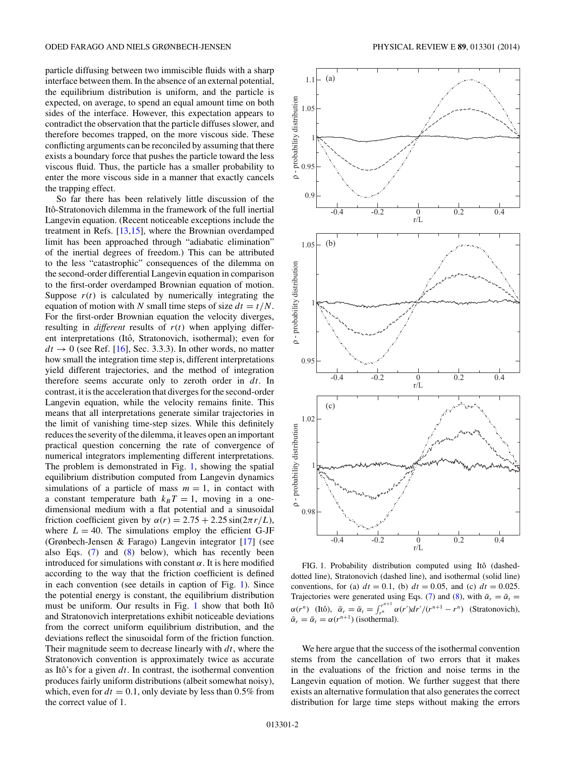<span id="page-1-0"></span>particle diffusing between two immiscible fluids with a sharp interface between them. In the absence of an external potential, the equilibrium distribution is uniform, and the particle is expected, on average, to spend an equal amount time on both sides of the interface. However, this expectation appears to contradict the observation that the particle diffuses slower, and therefore becomes trapped, on the more viscous side. These conflicting arguments can be reconciled by assuming that there exists a boundary force that pushes the particle toward the less viscous fluid. Thus, the particle has a smaller probability to enter the more viscous side in a manner that exactly cancels the trapping effect.

So far there has been relatively little discussion of the Itô-Stratonovich dilemma in the framework of the full inertial Langevin equation. (Recent noticeable exceptions include the treatment in Refs. [\[13,15\]](#page-4-0), where the Brownian overdamped limit has been approached through "adiabatic elimination" of the inertial degrees of freedom.) This can be attributed to the less "catastrophic" consequences of the dilemma on the second-order differential Langevin equation in comparison to the first-order overdamped Brownian equation of motion. Suppose  $r(t)$  is calculated by numerically integrating the equation of motion with *N* small time steps of size  $dt = t/N$ . For the first-order Brownian equation the velocity diverges, resulting in *different* results of *r*(*t*) when applying different interpretations (Itô, Stratonovich, isothermal); even for  $dt \rightarrow 0$  (see Ref. [\[16\]](#page-4-0), Sec. 3.3.3). In other words, no matter how small the integration time step is, different interpretations yield different trajectories, and the method of integration therefore seems accurate only to zeroth order in *dt*. In contrast, it is the acceleration that diverges for the second-order Langevin equation, while the velocity remains finite. This means that all interpretations generate similar trajectories in the limit of vanishing time-step sizes. While this definitely reduces the severity of the dilemma, it leaves open an important practical question concerning the rate of convergence of numerical integrators implementing different interpretations. The problem is demonstrated in Fig. 1, showing the spatial equilibrium distribution computed from Langevin dynamics simulations of a particle of mass  $m = 1$ , in contact with a constant temperature bath  $k_B T = 1$ , moving in a onedimensional medium with a flat potential and a sinusoidal friction coefficient given by  $\alpha(r) = 2.75 + 2.25 \sin(2\pi r/L)$ , where  $L = 40$ . The simulations employ the efficient G-JF (Grønbech-Jensen & Farago) Langevin integrator [\[17\]](#page-4-0) (see also Eqs.  $(7)$  and  $(8)$  below), which has recently been introduced for simulations with constant  $\alpha$ . It is here modified according to the way that the friction coefficient is defined in each convention (see details in caption of Fig. 1). Since the potential energy is constant, the equilibrium distribution must be uniform. Our results in Fig.  $1$  show that both Itô and Stratonovich interpretations exhibit noticeable deviations from the correct uniform equilibrium distribution, and the deviations reflect the sinusoidal form of the friction function. Their magnitude seem to decrease linearly with *dt*, where the Stratonovich convention is approximately twice as accurate as Itô's for a given  $dt$ . In contrast, the isothermal convention produces fairly uniform distributions (albeit somewhat noisy), which, even for  $dt = 0.1$ , only deviate by less than 0.5% from the correct value of 1.



FIG. 1. Probability distribution computed using Itô (dasheddotted line), Stratonovich (dashed line), and isothermal (solid line) conventions, for (a)  $dt = 0.1$ , (b)  $dt = 0.05$ , and (c)  $dt = 0.025$ . Trajectories were generated using Eqs. [\(7\)](#page-2-0) and [\(8\)](#page-2-0), with  $\bar{\alpha}_r = \bar{\alpha}_t$  $\alpha(r^n)$  (Itô),  $\bar{\alpha}_r = \bar{\alpha}_t = \int_{r^n}^{r^{n+1}} \alpha(r') dr' / (r^{n+1} - r^n)$  (Stratonovich),  $\bar{\alpha}_r = \bar{\alpha}_t = \alpha(r^{n+1})$  (isothermal).

We here argue that the success of the isothermal convention stems from the cancellation of two errors that it makes in the evaluations of the friction and noise terms in the Langevin equation of motion. We further suggest that there exists an alternative formulation that also generates the correct distribution for large time steps without making the errors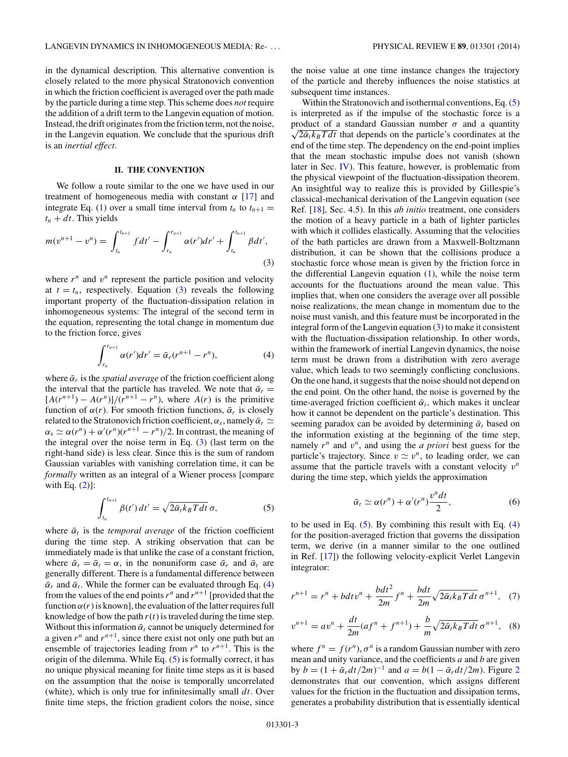<span id="page-2-0"></span>in the dynamical description. This alternative convention is closely related to the more physical Stratonovich convention in which the friction coefficient is averaged over the path made by the particle during a time step. This scheme does *not* require the addition of a drift term to the Langevin equation of motion. Instead, the drift originates from the friction term, not the noise, in the Langevin equation. We conclude that the spurious drift is an *inertial effect*.

### **II. THE CONVENTION**

We follow a route similar to the one we have used in our treatment of homogeneous media with constant  $\alpha$  [\[17\]](#page-4-0) and integrate Eq. [\(1\)](#page-0-0) over a small time interval from  $t_n$  to  $t_{n+1}$  $t_n + dt$ . This yields

$$
m(v^{n+1} - v^n) = \int_{t_n}^{t_{n+1}} f dt' - \int_{r_n}^{r_{n+1}} \alpha(r') dr' + \int_{t_n}^{t_{n+1}} \beta dt',
$$
\n(3)

where  $r^n$  and  $v^n$  represent the particle position and velocity at  $t = t_n$ , respectively. Equation (3) reveals the following important property of the fluctuation-dissipation relation in inhomogeneous systems: The integral of the second term in the equation, representing the total change in momentum due to the friction force, gives

$$
\int_{r_n}^{r_{n+1}} \alpha(r') dr' = \bar{\alpha}_r (r^{n+1} - r^n), \tag{4}
$$

where  $\bar{\alpha}_r$  is the *spatial average* of the friction coefficient along the interval that the particle has traveled. We note that  $\bar{\alpha}_r =$  $[A(r^{n+1}) - A(r^n)]/(r^{n+1} - r^n)$ , where  $A(r)$  is the primitive function of  $\alpha(r)$ . For smooth friction functions,  $\overline{\alpha}_r$  is closely related to the Stratonovich friction coefficient,  $\alpha_s$ , namely  $\bar{\alpha}_r \simeq$  $\alpha_s \simeq \alpha(r^n) + \alpha'(r^n)(r^{n+1} - r^n)/2$ . In contrast, the meaning of the integral over the noise term in Eq.  $(3)$  (last term on the right-hand side) is less clear. Since this is the sum of random Gaussian variables with vanishing correlation time, it can be *formally* written as an integral of a Wiener process [compare with Eq.  $(2)$ ]:

$$
\int_{t_n}^{t_{n=1}} \beta(t') dt' = \sqrt{2\bar{\alpha}_t k_B T dt} \,\sigma,\tag{5}
$$

where  $\bar{\alpha}_t$  is the *temporal average* of the friction coefficient during the time step. A striking observation that can be immediately made is that unlike the case of a constant friction, where  $\bar{\alpha}_r = \bar{\alpha}_t = \alpha$ , in the nonuniform case  $\bar{\alpha}_r$  and  $\bar{\alpha}_t$  are generally different. There is a fundamental difference between  $\bar{\alpha}_r$  and  $\bar{\alpha}_t$ . While the former can be evaluated through Eq. (4) from the values of the end points  $r^n$  and  $r^{n+1}$  [provided that the function  $\alpha(r)$  is known], the evaluation of the latter requires full knowledge of how the path  $r(t)$  is traveled during the time step. Without this information  $\bar{\alpha}_t$  cannot be uniquely determined for a given  $r^n$  and  $r^{n+1}$ , since there exist not only one path but an ensemble of trajectories leading from  $r^n$  to  $r^{n+1}$ . This is the origin of the dilemma. While Eq. (5) is formally correct, it has no unique physical meaning for finite time steps as it is based on the assumption that the noise is temporally uncorrelated (white), which is only true for infinitesimally small *dt*. Over finite time steps, the friction gradient colors the noise, since

the noise value at one time instance changes the trajectory of the particle and thereby influences the noise statistics at subsequent time instances.

Within the Stratonovich and isothermal conventions, Eq. (5) is interpreted as if the impulse of the stochastic force is a product of a standard Gaussian number  $\sigma$  and a quantity  $\sqrt{2\overline{\phi} k_{\sigma} T dt}$  that denends on the particle's coordinates at the  $\sqrt{2\bar{\alpha}_t k_B T dt}$  that depends on the particle's coordinates at the end of the time step. The dependency on the end-point implies that the mean stochastic impulse does not vanish (shown later in Sec. [IV\)](#page-3-0). This feature, however, is problematic from the physical viewpoint of the fluctuation-dissipation theorem. An insightful way to realize this is provided by Gillespie's classical-mechanical derivation of the Langevin equation (see Ref. [\[18\]](#page-4-0), Sec. 4.5). In this *ab initio* treatment, one considers the motion of a heavy particle in a bath of lighter particles with which it collides elastically. Assuming that the velocities of the bath particles are drawn from a Maxwell-Boltzmann distribution, it can be shown that the collisions produce a stochastic force whose mean is given by the friction force in the differential Langevin equation [\(1\)](#page-0-0), while the noise term accounts for the fluctuations around the mean value. This implies that, when one considers the average over all possible noise realizations, the mean change in momentum due to the noise must vanish, and this feature must be incorporated in the integral form of the Langevin equation  $(3)$  to make it consistent with the fluctuation-dissipation relationship. In other words, within the framework of inertial Langevin dynamics, the noise term must be drawn from a distribution with zero average value, which leads to two seemingly conflicting conclusions. On the one hand, it suggests that the noise should not depend on the end point. On the other hand, the noise is governed by the time-averaged friction coefficient  $\bar{\alpha}_t$ , which makes it unclear how it cannot be dependent on the particle's destination. This seeming paradox can be avoided by determining  $\bar{\alpha}_t$  based on the information existing at the beginning of the time step, namely *r<sup>n</sup>* and *v<sup>n</sup>*, and using the *a priori* best guess for the particle's trajectory. Since  $v \simeq v^n$ , to leading order, we can assume that the particle travels with a constant velocity  $v^n$ during the time step, which yields the approximation

$$
\bar{\alpha}_t \simeq \alpha(r^n) + \alpha'(r^n) \frac{v^n dt}{2}, \qquad (6)
$$

to be used in Eq.  $(5)$ . By combining this result with Eq.  $(4)$ for the position-averaged friction that governs the dissipation term, we derive (in a manner similar to the one outlined in Ref. [\[17\]](#page-4-0)) the following velocity-explicit Verlet Langevin integrator:

$$
r^{n+1} = r^n + b dt v^n + \frac{b dt^2}{2m} f^n + \frac{b dt}{2m} \sqrt{2 \bar{\alpha}_t k_B T dt} \sigma^{n+1}, \quad (7)
$$

$$
v^{n+1} = av^n + \frac{dt}{2m}(af^n + f^{n+1}) + \frac{b}{m}\sqrt{2\bar{\alpha}_t k_B T dt} \,\sigma^{n+1}, \quad (8)
$$

where  $f^n = f(r^n)$ ,  $\sigma^n$  is a random Gaussian number with zero mean and unity variance, and the coefficients *a* and *b* are given by  $b = (1 + \bar{\alpha}_r dt/2m)^{-1}$  $b = (1 + \bar{\alpha}_r dt/2m)^{-1}$  $b = (1 + \bar{\alpha}_r dt/2m)^{-1}$  and  $a = b(1 - \bar{\alpha}_r dt/2m)$ . Figure 2 demonstrates that our convention, which assigns different values for the friction in the fluctuation and dissipation terms, generates a probability distribution that is essentially identical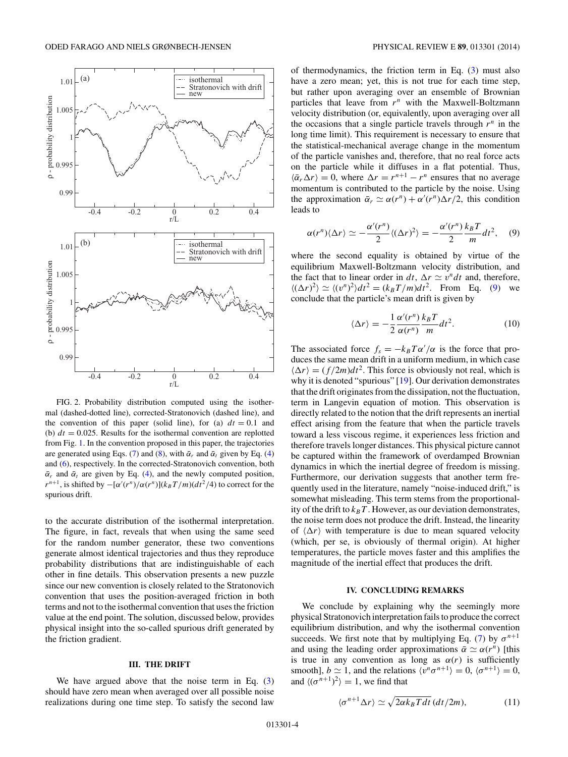<span id="page-3-0"></span>

FIG. 2. Probability distribution computed using the isothermal (dashed-dotted line), corrected-Stratonovich (dashed line), and the convention of this paper (solid line), for (a)  $dt = 0.1$  and (b)  $dt = 0.025$ . Results for the isothermal convention are replotted from Fig. [1.](#page-1-0) In the convention proposed in this paper, the trajectories are generated using Eqs. [\(7\)](#page-2-0) and [\(8\)](#page-2-0), with  $\bar{\alpha}_r$  and  $\bar{\alpha}_t$  given by Eq. [\(4\)](#page-2-0) and [\(6\)](#page-2-0), respectively. In the corrected-Stratonovich convention, both  $\bar{\alpha}_r$  and  $\bar{\alpha}_t$  are given by Eq. [\(4\)](#page-2-0), and the newly computed position, *r*<sup>*n*+1</sup>, is shifted by  $-[\alpha'(r^n)/\alpha(r^n)](k_B T/m)(dt^2/4)$  to correct for the spurious drift.

to the accurate distribution of the isothermal interpretation. The figure, in fact, reveals that when using the same seed for the random number generator, these two conventions generate almost identical trajectories and thus they reproduce probability distributions that are indistinguishable of each other in fine details. This observation presents a new puzzle since our new convention is closely related to the Stratonovich convention that uses the position-averaged friction in both terms and not to the isothermal convention that uses the friction value at the end point. The solution, discussed below, provides physical insight into the so-called spurious drift generated by the friction gradient.

#### **III. THE DRIFT**

We have argued above that the noise term in Eq. [\(3\)](#page-2-0) should have zero mean when averaged over all possible noise realizations during one time step. To satisfy the second law

of thermodynamics, the friction term in Eq. [\(3\)](#page-2-0) must also have a zero mean; yet, this is not true for each time step, but rather upon averaging over an ensemble of Brownian particles that leave from *r<sup>n</sup>* with the Maxwell-Boltzmann velocity distribution (or, equivalently, upon averaging over all the occasions that a single particle travels through  $r^n$  in the long time limit). This requirement is necessary to ensure that the statistical-mechanical average change in the momentum of the particle vanishes and, therefore, that no real force acts on the particle while it diffuses in a flat potential. Thus,  $\langle \bar{\alpha}_r \Delta r \rangle = 0$ , where  $\Delta r = r^{n+1} - r^n$  ensures that no average momentum is contributed to the particle by the noise. Using the approximation  $\bar{\alpha}_r \simeq \alpha(r^n) + \alpha'(r^n) \Delta r/2$ , this condition leads to

$$
\alpha(r^n)\langle\Delta r\rangle \simeq -\frac{\alpha'(r^n)}{2}\langle(\Delta r)^2\rangle = -\frac{\alpha'(r^n)}{2}\frac{k_BT}{m}dt^2,\quad(9)
$$

where the second equality is obtained by virtue of the equilibrium Maxwell-Boltzmann velocity distribution, and the fact that to linear order in *dt*,  $\Delta r \simeq v^n dt$  and, therefore,  $\langle (\Delta r)^2 \rangle \simeq \langle (v^n)^2 \rangle dt^2 = (k_B T/m) dt^2$ . From Eq. (9) we conclude that the particle's mean drift is given by

$$
\langle \Delta r \rangle = -\frac{1}{2} \frac{\alpha'(r^n)}{\alpha(r^n)} \frac{k_B T}{m} dt^2.
$$
 (10)

The associated force  $f_s = -k_B T \alpha'/\alpha$  is the force that produces the same mean drift in a uniform medium, in which case  $\langle \Delta r \rangle = (f/2m)dt^2$ . This force is obviously not real, which is why it is denoted "spurious" [\[19\]](#page-4-0). Our derivation demonstrates that the drift originates from the dissipation, not the fluctuation, term in Langevin equation of motion. This observation is directly related to the notion that the drift represents an inertial effect arising from the feature that when the particle travels toward a less viscous regime, it experiences less friction and therefore travels longer distances. This physical picture cannot be captured within the framework of overdamped Brownian dynamics in which the inertial degree of freedom is missing. Furthermore, our derivation suggests that another term frequently used in the literature, namely "noise-induced drift," is somewhat misleading. This term stems from the proportionality of the drift to  $k_B T$ . However, as our deviation demonstrates, the noise term does not produce the drift. Instead, the linearity of  $\langle \Delta r \rangle$  with temperature is due to mean squared velocity (which, per se, is obviously of thermal origin). At higher temperatures, the particle moves faster and this amplifies the magnitude of the inertial effect that produces the drift.

#### **IV. CONCLUDING REMARKS**

We conclude by explaining why the seemingly more physical Stratonovich interpretation fails to produce the correct equilibrium distribution, and why the isothermal convention succeeds. We first note that by multiplying Eq. [\(7\)](#page-2-0) by  $\sigma^{n+1}$ and using the leading order approximations  $\bar{\alpha} \simeq \alpha(r^n)$  [this is true in any convention as long as  $\alpha(r)$  is sufficiently smooth],  $b \simeq 1$ , and the relations  $\langle v^n \sigma^{n+1} \rangle = 0$ ,  $\langle \sigma^{n+1} \rangle = 0$ , and  $\langle (\sigma^{n+1})^2 \rangle = 1$ , we find that

$$
\langle \sigma^{n+1} \Delta r \rangle \simeq \sqrt{2\alpha k_B T dt} \, (dt/2m), \tag{11}
$$